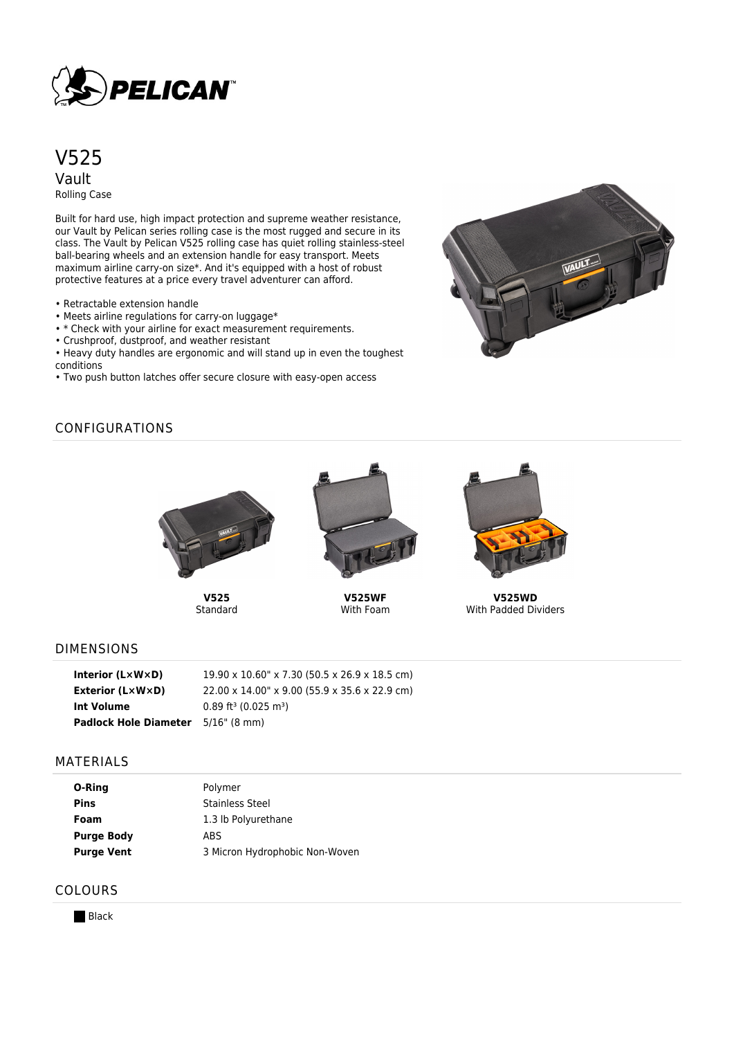

V525 Vault Rolling Case

Built for hard use, high impact protection and supreme weather resistance, our Vault by Pelican series rolling case is the most rugged and secure in its class. The Vault by Pelican V525 rolling case has quiet rolling stainless-steel ball-bearing wheels and an extension handle for easy transport. Meets maximum airline carry-on size\*. And it's equipped with a host of robust protective features at a price every travel adventurer can afford.

- Retractable extension handle
- Meets airline regulations for carry-on luggage\*
- \* Check with your airline for exact measurement requirements.
- Crushproof, dustproof, and weather resistant

• Heavy duty handles are ergonomic and will stand up in even the toughest conditions

• Two push button latches offer secure closure with easy-open access



# CONFIGURATIONS



**V525 Standard** 



**V525WF** With Foam



**V525WD** With Padded Dividers

## DIMENSIONS

| Interior $(L \times W \times D)$ | 19.90 x 10.60" x 7.30 (50.5 x 26.9 x 18.5 cm)  |
|----------------------------------|------------------------------------------------|
| Exterior $(L \times W \times D)$ | 22.00 x 14.00" x 9.00 (55.9 x 35.6 x 22.9 cm)  |
| Int Volume                       | $0.89$ ft <sup>3</sup> (0.025 m <sup>3</sup> ) |
| <b>Padlock Hole Diameter</b>     | 5/16" (8 mm)                                   |

#### MATERIALS

| O-Ring            | Polymer                        |
|-------------------|--------------------------------|
| <b>Pins</b>       | <b>Stainless Steel</b>         |
| Foam              | 1.3 lb Polyurethane            |
| <b>Purge Body</b> | <b>ABS</b>                     |
| <b>Purge Vent</b> | 3 Micron Hydrophobic Non-Woven |

## COLOURS

**Black**